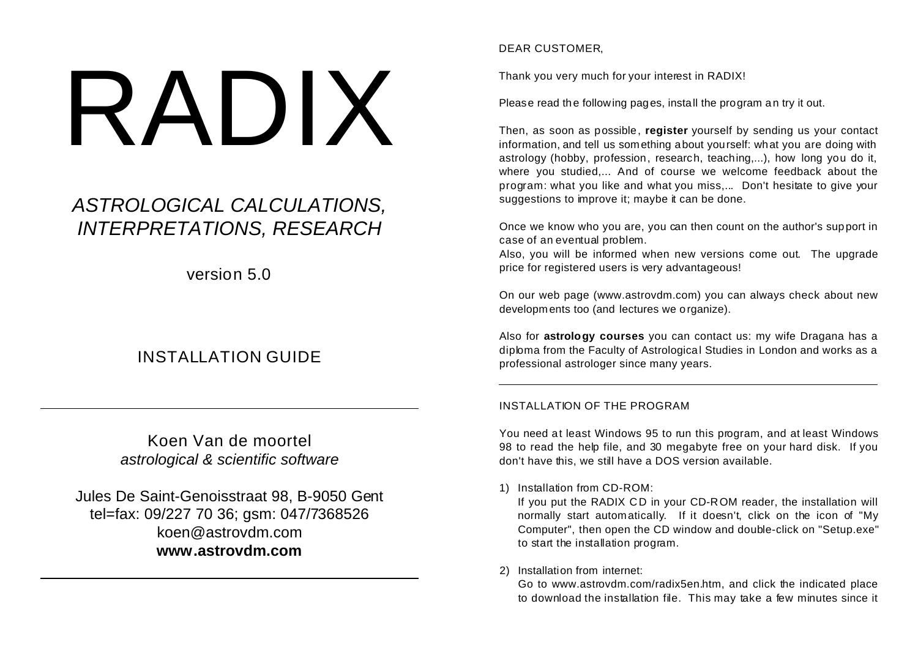# RADIX

# *ASTROLOGICAL CALCULATIONS, INTERPRETATIONS, RESEARCH*

version 5.0

## INSTALLATION GUIDE

Koen Van de moortel *astrological & scientific software*

Jules De Saint-Genoisstraat 98, B-9050 Gent tel=fax: 09/227 70 36; gsm: 047/7368526 koen@astrovdm.com **www.astrovdm.com**

DEAR CUSTOMER,

Thank you very much for your interest in RADIX!

Please read the following pages, install the program an try it out.

Then, as soon as possible, **register** yourself by sending us your contact information, and tell us something about yourself: what you are doing with astrology (hobby, profession, research, teaching,...), how long you do it, where you studied,... And of course we welcome feedback about the program: what you like and what you miss,... Don't hesitate to give your suggestions to improve it; maybe it can be done.

Once we know who you are, you can then count on the author's support in case of an eventual problem.

Also, you will be informed when new versions come out. The upgrade price for registered users is very advantageous!

On our web page (www.astrovdm.com) you can always check about new developm ents too (and lectures we organize).

Also for **astrology courses** you can contact us: my wife Dragana has a diploma from the Faculty of Astrological Studies in London and works as a professional astrologer since many years.

### INSTALLATION OF THE PROGRAM

You need at least Windows 95 to run this program, and at least Windows 98 to read the help file, and 30 megabyte free on your hard disk. If you don't have this, we still have a DOS version available.

### 1) Installation from CD-ROM:

If you put the RADIX CD in your CD-ROM reader, the installation will normally start automatically. If it doesn't, click on the icon of "My Computer", then open the CD window and double-click on "Setup.exe" to start the installation program.

### 2) Installation from internet:

Go to www.astrovdm.com/radix5en.htm, and click the indicated place to download the installation file. This may take a few minutes since it